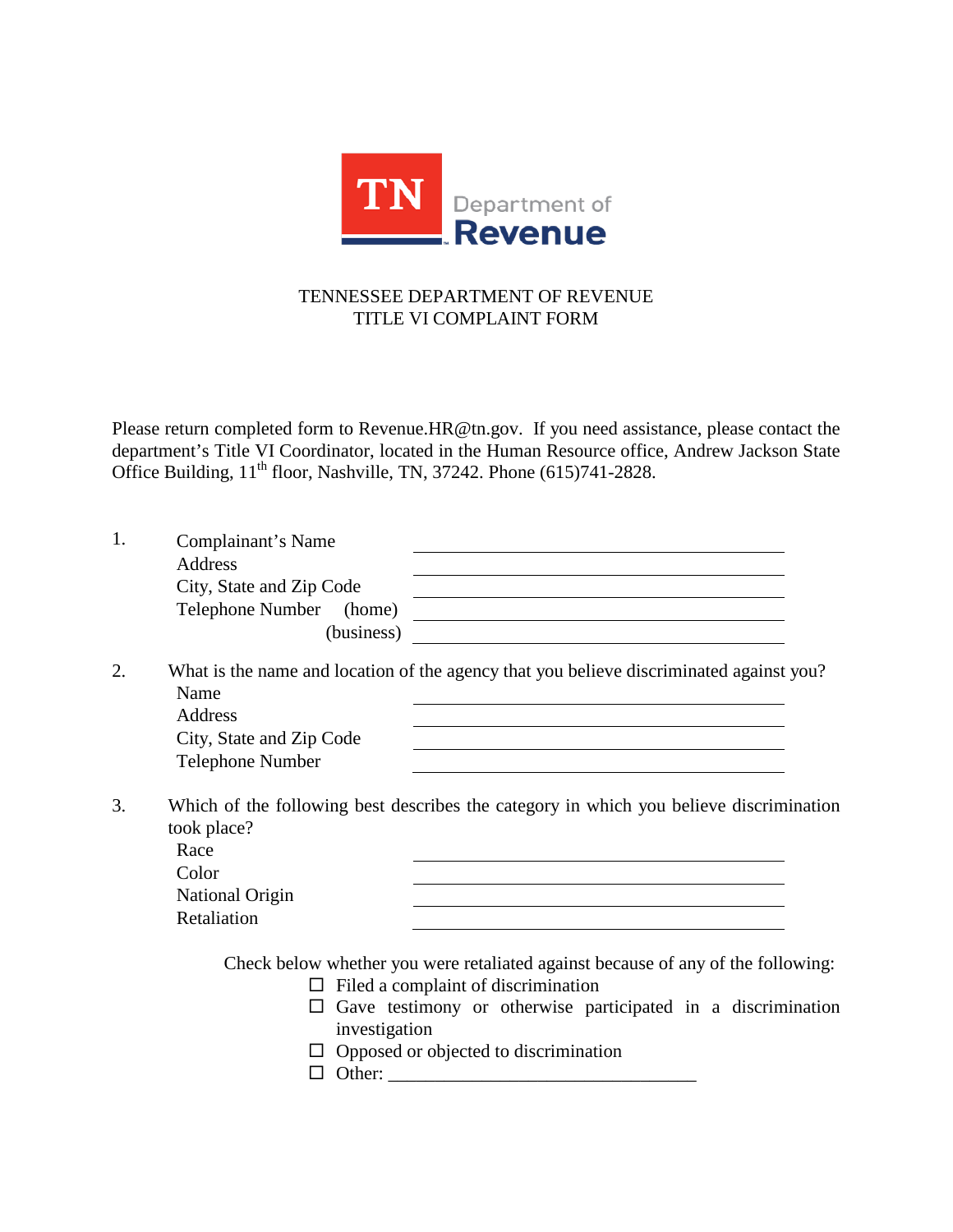

## TENNESSEE DEPARTMENT OF REVENUE TITLE VI COMPLAINT FORM

Please return completed form to [Revenue.HR@tn.gov.](mailto:Revenue.HR@tn.gov) If you need assistance, please contact the department's Title VI Coordinator, located in the Human Resource office, Andrew Jackson State Office Building, 11<sup>th</sup> floor, Nashville, TN, 37242. Phone (615)741-2828.

| 1. | Complainant's Name<br><b>Address</b><br>City, State and Zip Code<br>Telephone Number<br>(home)<br><u> 1980 - Andrea State Barbara, amerikan personal di sebagai personal di sebagai personal di sebagai personal d</u><br>(business)                        |  |
|----|-------------------------------------------------------------------------------------------------------------------------------------------------------------------------------------------------------------------------------------------------------------|--|
| 2. | What is the name and location of the agency that you believe discriminated against you?<br>Name<br>Address<br>City, State and Zip Code<br><b>Telephone Number</b>                                                                                           |  |
| 3. | Which of the following best describes the category in which you believe discrimination<br>took place?<br>Race<br>Color<br><b>National Origin</b><br>Retaliation                                                                                             |  |
|    | Check below whether you were retaliated against because of any of the following:<br>Filed a complaint of discrimination<br>$\Box$<br>Gave testimony or otherwise participated in a discrimination<br>investigation<br>Opposed or objected to discrimination |  |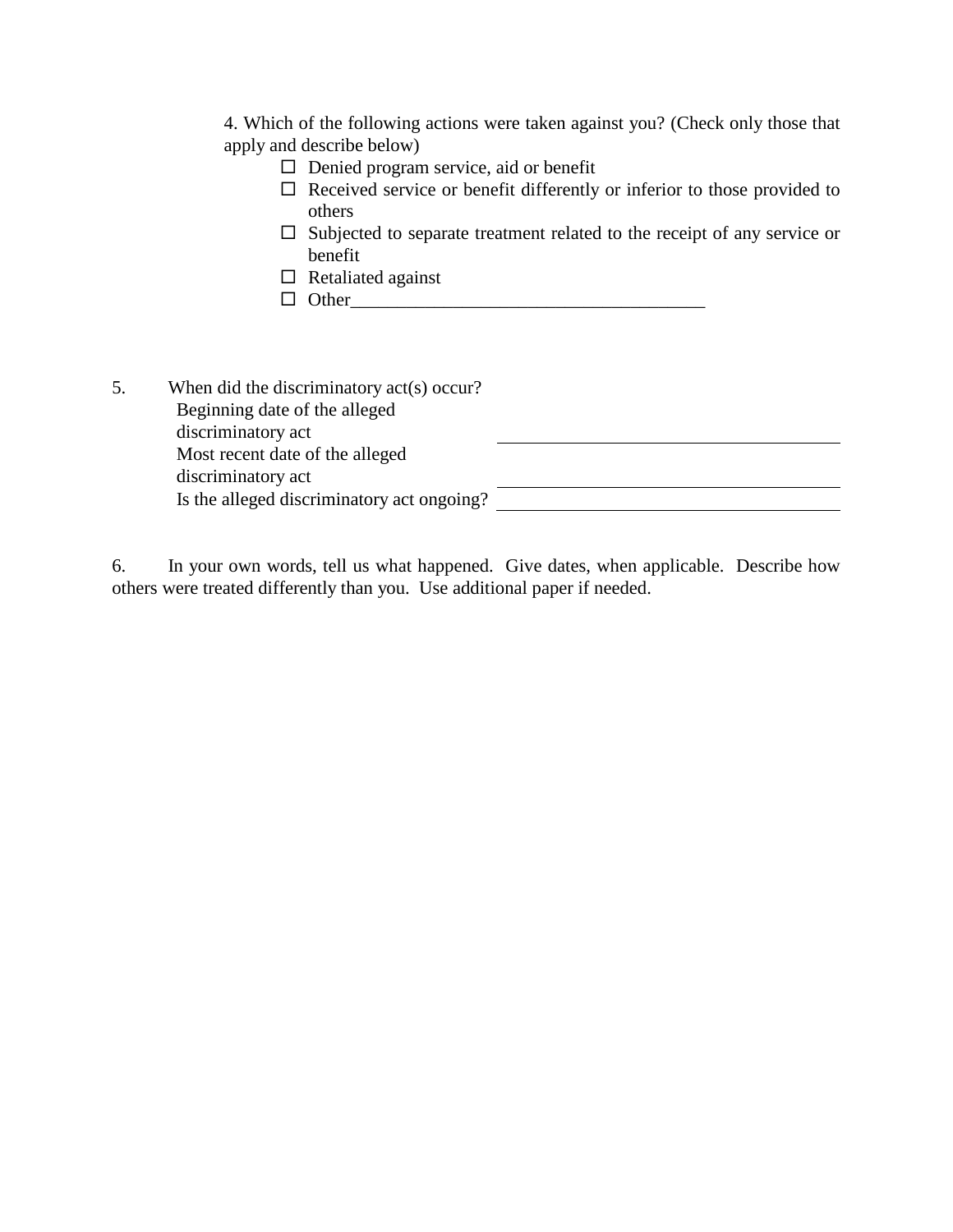4. Which of the following actions were taken against you? (Check only those that apply and describe below)

- □ Denied program service, aid or benefit
- $\Box$  Received service or benefit differently or inferior to those provided to others
- $\square$  Subjected to separate treatment related to the receipt of any service or benefit
- $\Box$  Retaliated against
- $\Box \hspace{0.2cm} Other \hspace{0.2cm} \rule{0.2cm}{0.2cm}$

| 5. | When did the discriminatory act(s) occur?  |  |
|----|--------------------------------------------|--|
|    | Beginning date of the alleged              |  |
|    | discriminatory act                         |  |
|    | Most recent date of the alleged            |  |
|    | discriminatory act                         |  |
|    | Is the alleged discriminatory act ongoing? |  |
|    |                                            |  |

6. In your own words, tell us what happened. Give dates, when applicable. Describe how others were treated differently than you. Use additional paper if needed.